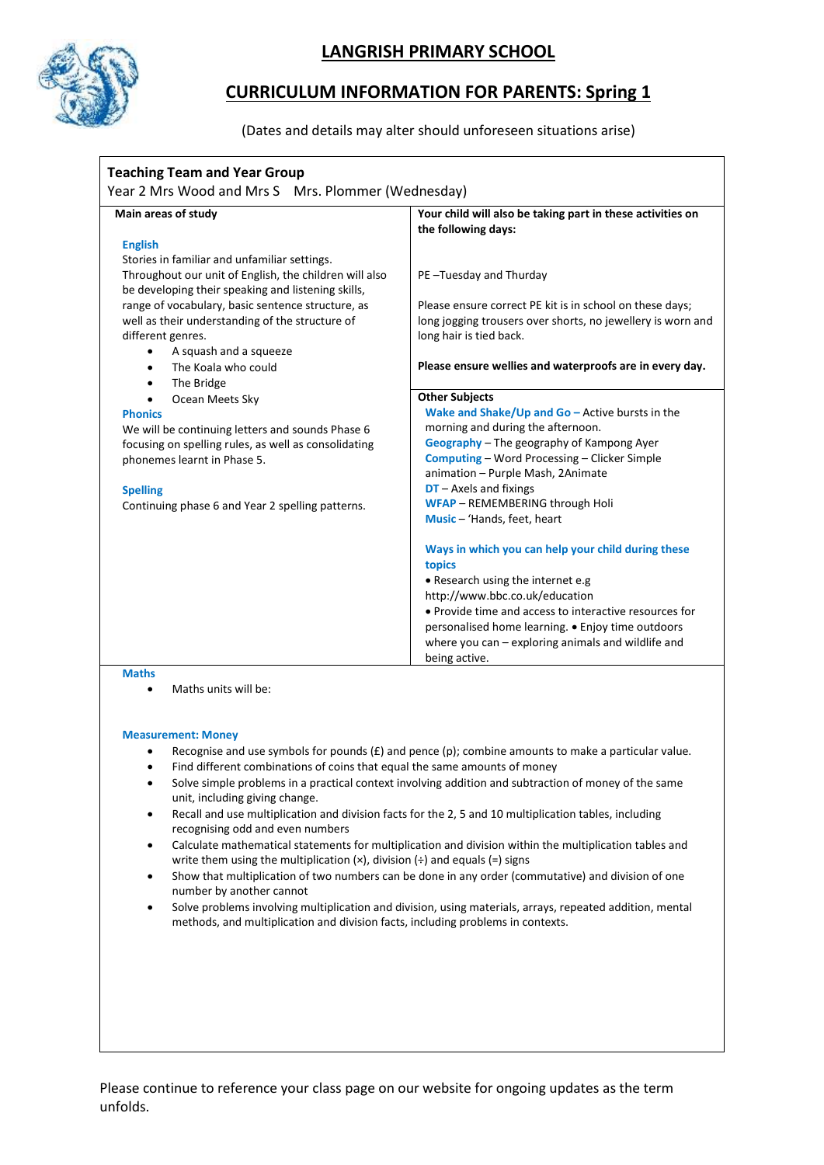

## **LANGRISH PRIMARY SCHOOL**

## **CURRICULUM INFORMATION FOR PARENTS: Spring 1**

(Dates and details may alter should unforeseen situations arise)

| Year 2 Mrs Wood and Mrs S Mrs. Plommer (Wednesday)                                                                                   |                                                                                                       |
|--------------------------------------------------------------------------------------------------------------------------------------|-------------------------------------------------------------------------------------------------------|
| Main areas of study                                                                                                                  | Your child will also be taking part in these activities on<br>the following days:                     |
| <b>English</b>                                                                                                                       |                                                                                                       |
| Stories in familiar and unfamiliar settings.<br>Throughout our unit of English, the children will also                               | PE-Tuesday and Thurday                                                                                |
| be developing their speaking and listening skills,                                                                                   | Please ensure correct PE kit is in school on these days;                                              |
| range of vocabulary, basic sentence structure, as<br>well as their understanding of the structure of                                 | long jogging trousers over shorts, no jewellery is worn and                                           |
| different genres.                                                                                                                    | long hair is tied back.                                                                               |
| A squash and a squeeze<br>$\bullet$                                                                                                  |                                                                                                       |
| The Koala who could                                                                                                                  | Please ensure wellies and waterproofs are in every day.                                               |
| The Bridge                                                                                                                           |                                                                                                       |
| Ocean Meets Sky                                                                                                                      | <b>Other Subjects</b>                                                                                 |
| <b>Phonics</b>                                                                                                                       | Wake and Shake/Up and $Go$ – Active bursts in the                                                     |
| We will be continuing letters and sounds Phase 6                                                                                     | morning and during the afternoon.                                                                     |
| focusing on spelling rules, as well as consolidating                                                                                 | Geography - The geography of Kampong Ayer                                                             |
| phonemes learnt in Phase 5.                                                                                                          | <b>Computing - Word Processing - Clicker Simple</b>                                                   |
|                                                                                                                                      | animation - Purple Mash, 2Animate                                                                     |
| <b>Spelling</b>                                                                                                                      | $DT$ – Axels and fixings<br>WFAP - REMEMBERING through Holi                                           |
| Continuing phase 6 and Year 2 spelling patterns.                                                                                     | Music - 'Hands, feet, heart                                                                           |
|                                                                                                                                      |                                                                                                       |
|                                                                                                                                      | Ways in which you can help your child during these                                                    |
|                                                                                                                                      | topics                                                                                                |
|                                                                                                                                      | • Research using the internet e.g                                                                     |
|                                                                                                                                      | http://www.bbc.co.uk/education                                                                        |
|                                                                                                                                      | • Provide time and access to interactive resources for                                                |
|                                                                                                                                      | personalised home learning. . Enjoy time outdoors                                                     |
|                                                                                                                                      | where you $can$ – exploring animals and wildlife and                                                  |
|                                                                                                                                      | being active.                                                                                         |
| <b>Maths</b>                                                                                                                         |                                                                                                       |
| Maths units will be:                                                                                                                 |                                                                                                       |
|                                                                                                                                      |                                                                                                       |
| <b>Measurement: Money</b>                                                                                                            |                                                                                                       |
|                                                                                                                                      | Recognise and use symbols for pounds $(E)$ and pence (p); combine amounts to make a particular value. |
| Find different combinations of coins that equal the same amounts of money<br>$\bullet$                                               |                                                                                                       |
| Solve simple problems in a practical context involving addition and subtraction of money of the same<br>$\bullet$                    |                                                                                                       |
| unit, including giving change.                                                                                                       |                                                                                                       |
| Recall and use multiplication and division facts for the 2, 5 and 10 multiplication tables, including<br>٠                           |                                                                                                       |
| recognising odd and even numbers                                                                                                     |                                                                                                       |
| Calculate mathematical statements for multiplication and division within the multiplication tables and<br>$\bullet$                  |                                                                                                       |
| write them using the multiplication $(x)$ , division $\left(\div\right)$ and equals $\left(=\right)$ signs                           |                                                                                                       |
| Show that multiplication of two numbers can be done in any order (commutative) and division of one<br>$\bullet$                      |                                                                                                       |
| number by another cannot<br>Solve problems involving multiplication and division, using materials, arrays, repeated addition, mental |                                                                                                       |
| $\bullet$                                                                                                                            |                                                                                                       |
| methods, and multiplication and division facts, including problems in contexts.                                                      |                                                                                                       |
|                                                                                                                                      |                                                                                                       |
|                                                                                                                                      |                                                                                                       |
|                                                                                                                                      |                                                                                                       |
|                                                                                                                                      |                                                                                                       |
|                                                                                                                                      |                                                                                                       |

Please continue to reference your class page on our website for ongoing updates as the term unfolds.